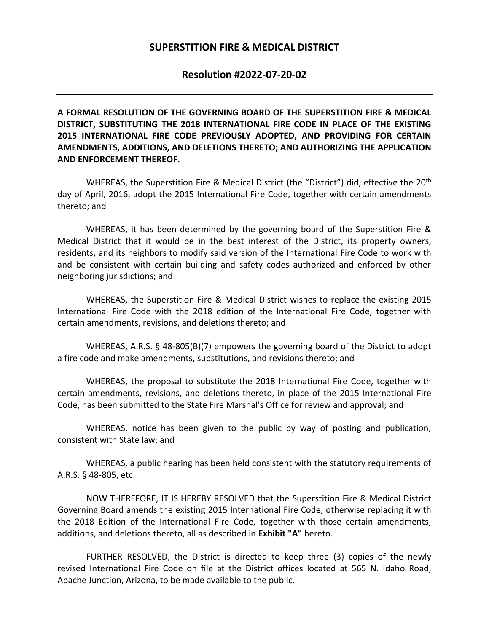## **SUPERSTITION FIRE & MEDICAL DISTRICT**

## **Resolution #2022-07-20-02**

**A FORMAL RESOLUTION OF THE GOVERNING BOARD OF THE SUPERSTITION FIRE & MEDICAL DISTRICT, SUBSTITUTING THE 2018 INTERNATIONAL FIRE CODE IN PLACE OF THE EXISTING 2015 INTERNATIONAL FIRE CODE PREVIOUSLY ADOPTED, AND PROVIDING FOR CERTAIN AMENDMENTS, ADDITIONS, AND DELETIONS THERETO; AND AUTHORIZING THE APPLICATION AND ENFORCEMENT THEREOF.** 

WHEREAS, the Superstition Fire & Medical District (the "District") did, effective the 20<sup>th</sup> day of April, 2016, adopt the 2015 International Fire Code, together with certain amendments thereto; and

WHEREAS, it has been determined by the governing board of the Superstition Fire & Medical District that it would be in the best interest of the District, its property owners, residents, and its neighbors to modify said version of the International Fire Code to work with and be consistent with certain building and safety codes authorized and enforced by other neighboring jurisdictions; and

WHEREAS, the Superstition Fire & Medical District wishes to replace the existing 2015 International Fire Code with the 2018 edition of the International Fire Code, together with certain amendments, revisions, and deletions thereto; and

WHEREAS, A.R.S. § 48-805(B)(7) empowers the governing board of the District to adopt a fire code and make amendments, substitutions, and revisions thereto; and

WHEREAS, the proposal to substitute the 2018 International Fire Code, together with certain amendments, revisions, and deletions thereto, in place of the 2015 International Fire Code, has been submitted to the State Fire Marshal's Office for review and approval; and

WHEREAS, notice has been given to the public by way of posting and publication, consistent with State law; and

WHEREAS, a public hearing has been held consistent with the statutory requirements of A.R.S. § 48-805, etc.

NOW THEREFORE, IT IS HEREBY RESOLVED that the Superstition Fire & Medical District Governing Board amends the existing 2015 International Fire Code, otherwise replacing it with the 2018 Edition of the International Fire Code, together with those certain amendments, additions, and deletions thereto, all as described in **Exhibit "A"** hereto.

FURTHER RESOLVED, the District is directed to keep three (3) copies of the newly revised International Fire Code on file at the District offices located at 565 N. Idaho Road, Apache Junction, Arizona, to be made available to the public.